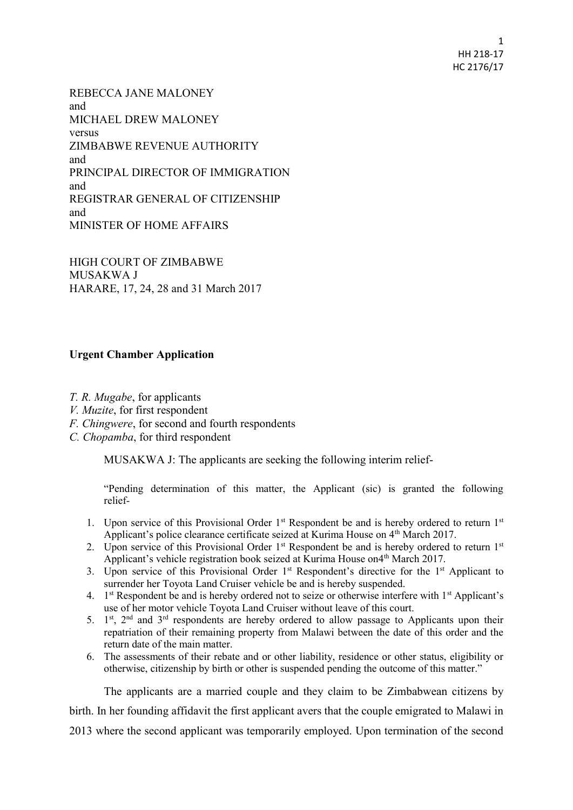1 HH 218-17 HC 2176/17

REBECCA JANE MALONEY and MICHAEL DREW MALONEY versus ZIMBABWE REVENUE AUTHORITY and PRINCIPAL DIRECTOR OF IMMIGRATION and REGISTRAR GENERAL OF CITIZENSHIP and MINISTER OF HOME AFFAIRS

HIGH COURT OF ZIMBABWE MUSAKWA J HARARE, 17, 24, 28 and 31 March 2017

## **Urgent Chamber Application**

*T. R. Mugabe*, for applicants

- *V. Muzite*, for first respondent
- *F. Chingwere*, for second and fourth respondents
- *C. Chopamba*, for third respondent

MUSAKWA J: The applicants are seeking the following interim relief-

"Pending determination of this matter, the Applicant (sic) is granted the following relief-

- 1. Upon service of this Provisional Order 1<sup>st</sup> Respondent be and is hereby ordered to return 1<sup>st</sup> Applicant's police clearance certificate seized at Kurima House on 4<sup>th</sup> March 2017.
- 2. Upon service of this Provisional Order 1<sup>st</sup> Respondent be and is hereby ordered to return 1<sup>st</sup> Applicant's vehicle registration book seized at Kurima House on4<sup>th</sup> March 2017.
- 3. Upon service of this Provisional Order  $1<sup>st</sup>$  Respondent's directive for the  $1<sup>st</sup>$  Applicant to surrender her Toyota Land Cruiser vehicle be and is hereby suspended.
- 4. 1<sup>st</sup> Respondent be and is hereby ordered not to seize or otherwise interfere with 1<sup>st</sup> Applicant's use of her motor vehicle Toyota Land Cruiser without leave of this court.
- 5.  $1<sup>st</sup>$ ,  $2<sup>nd</sup>$  and  $3<sup>rd</sup>$  respondents are hereby ordered to allow passage to Applicants upon their repatriation of their remaining property from Malawi between the date of this order and the return date of the main matter.
- 6. The assessments of their rebate and or other liability, residence or other status, eligibility or otherwise, citizenship by birth or other is suspended pending the outcome of this matter."

The applicants are a married couple and they claim to be Zimbabwean citizens by birth. In her founding affidavit the first applicant avers that the couple emigrated to Malawi in 2013 where the second applicant was temporarily employed. Upon termination of the second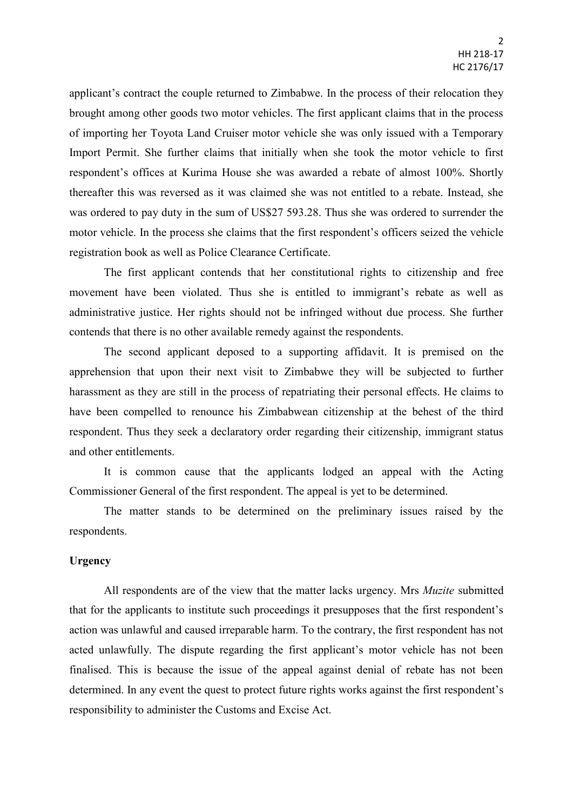applicant's contract the couple returned to Zimbabwe. In the process of their relocation they brought among other goods two motor vehicles. The first applicant claims that in the process of importing her Toyota Land Cruiser motor vehicle she was only issued with a Temporary Import Permit. She further claims that initially when she took the motor vehicle to first respondent's offices at Kurima House she was awarded a rebate of almost 100%. Shortly thereafter this was reversed as it was claimed she was not entitled to a rebate. Instead, she was ordered to pay duty in the sum of US\$27 593.28. Thus she was ordered to surrender the motor vehicle. In the process she claims that the first respondent's officers seized the vehicle registration book as well as Police Clearance Certificate.

The first applicant contends that her constitutional rights to citizenship and free movement have been violated. Thus she is entitled to immigrant's rebate as well as administrative justice. Her rights should not be infringed without due process. She further contends that there is no other available remedy against the respondents.

The second applicant deposed to a supporting affidavit. It is premised on the apprehension that upon their next visit to Zimbabwe they will be subjected to further harassment as they are still in the process of repatriating their personal effects. He claims to have been compelled to renounce his Zimbabwean citizenship at the behest of the third respondent. Thus they seek a declaratory order regarding their citizenship, immigrant status and other entitlements.

It is common cause that the applicants lodged an appeal with the Acting Commissioner General of the first respondent. The appeal is yet to be determined.

The matter stands to be determined on the preliminary issues raised by the respondents.

## **Urgency**

All respondents are of the view that the matter lacks urgency. Mrs *Muzite* submitted that for the applicants to institute such proceedings it presupposes that the first respondent's action was unlawful and caused irreparable harm. To the contrary, the first respondent has not acted unlawfully. The dispute regarding the first applicant's motor vehicle has not been finalised. This is because the issue of the appeal against denial of rebate has not been determined. In any event the quest to protect future rights works against the first respondent's responsibility to administer the Customs and Excise Act.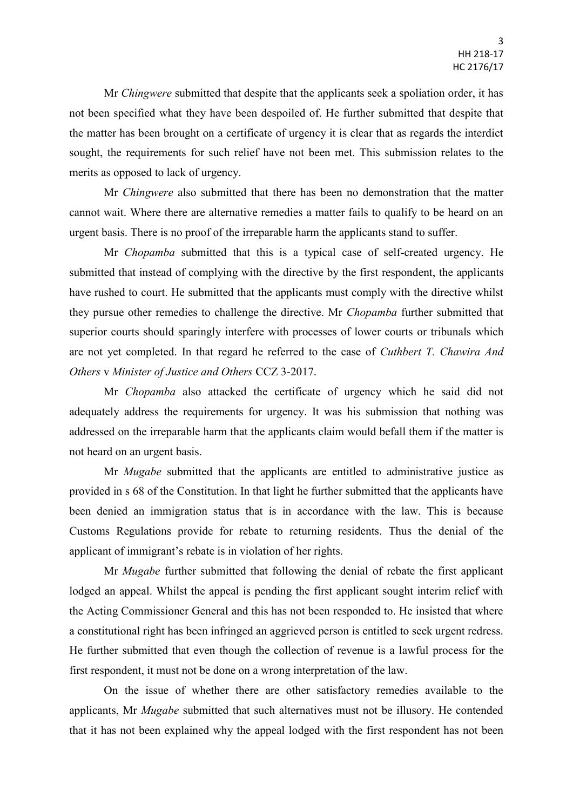Mr *Chingwere* submitted that despite that the applicants seek a spoliation order, it has not been specified what they have been despoiled of. He further submitted that despite that the matter has been brought on a certificate of urgency it is clear that as regards the interdict sought, the requirements for such relief have not been met. This submission relates to the merits as opposed to lack of urgency.

Mr *Chingwere* also submitted that there has been no demonstration that the matter cannot wait. Where there are alternative remedies a matter fails to qualify to be heard on an urgent basis. There is no proof of the irreparable harm the applicants stand to suffer.

Mr *Chopamba* submitted that this is a typical case of self-created urgency. He submitted that instead of complying with the directive by the first respondent, the applicants have rushed to court. He submitted that the applicants must comply with the directive whilst they pursue other remedies to challenge the directive. Mr *Chopamba* further submitted that superior courts should sparingly interfere with processes of lower courts or tribunals which are not yet completed. In that regard he referred to the case of *Cuthbert T. Chawira And Others* v *Minister of Justice and Others* CCZ 3-2017.

Mr *Chopamba* also attacked the certificate of urgency which he said did not adequately address the requirements for urgency. It was his submission that nothing was addressed on the irreparable harm that the applicants claim would befall them if the matter is not heard on an urgent basis.

Mr *Mugabe* submitted that the applicants are entitled to administrative justice as provided in s 68 of the Constitution. In that light he further submitted that the applicants have been denied an immigration status that is in accordance with the law. This is because Customs Regulations provide for rebate to returning residents. Thus the denial of the applicant of immigrant's rebate is in violation of her rights.

Mr *Mugabe* further submitted that following the denial of rebate the first applicant lodged an appeal. Whilst the appeal is pending the first applicant sought interim relief with the Acting Commissioner General and this has not been responded to. He insisted that where a constitutional right has been infringed an aggrieved person is entitled to seek urgent redress. He further submitted that even though the collection of revenue is a lawful process for the first respondent, it must not be done on a wrong interpretation of the law.

On the issue of whether there are other satisfactory remedies available to the applicants, Mr *Mugabe* submitted that such alternatives must not be illusory. He contended that it has not been explained why the appeal lodged with the first respondent has not been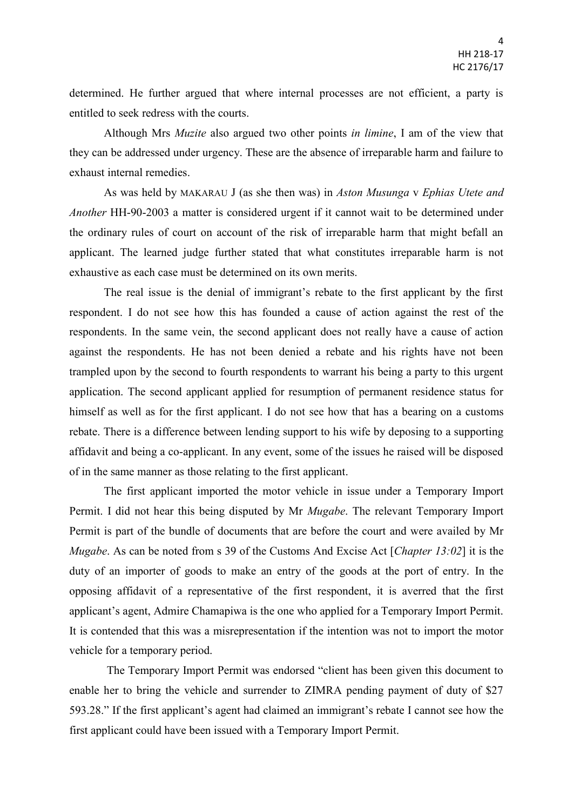determined. He further argued that where internal processes are not efficient, a party is entitled to seek redress with the courts.

Although Mrs *Muzite* also argued two other points *in limine*, I am of the view that they can be addressed under urgency. These are the absence of irreparable harm and failure to exhaust internal remedies.

As was held by MAKARAU J (as she then was) in *Aston Musunga* v *Ephias Utete and Another* HH-90-2003 a matter is considered urgent if it cannot wait to be determined under the ordinary rules of court on account of the risk of irreparable harm that might befall an applicant. The learned judge further stated that what constitutes irreparable harm is not exhaustive as each case must be determined on its own merits.

The real issue is the denial of immigrant's rebate to the first applicant by the first respondent. I do not see how this has founded a cause of action against the rest of the respondents. In the same vein, the second applicant does not really have a cause of action against the respondents. He has not been denied a rebate and his rights have not been trampled upon by the second to fourth respondents to warrant his being a party to this urgent application. The second applicant applied for resumption of permanent residence status for himself as well as for the first applicant. I do not see how that has a bearing on a customs rebate. There is a difference between lending support to his wife by deposing to a supporting affidavit and being a co-applicant. In any event, some of the issues he raised will be disposed of in the same manner as those relating to the first applicant.

The first applicant imported the motor vehicle in issue under a Temporary Import Permit. I did not hear this being disputed by Mr *Mugabe*. The relevant Temporary Import Permit is part of the bundle of documents that are before the court and were availed by Mr *Mugabe*. As can be noted from s 39 of the Customs And Excise Act [*Chapter 13:02*] it is the duty of an importer of goods to make an entry of the goods at the port of entry. In the opposing affidavit of a representative of the first respondent, it is averred that the first applicant's agent, Admire Chamapiwa is the one who applied for a Temporary Import Permit. It is contended that this was a misrepresentation if the intention was not to import the motor vehicle for a temporary period.

The Temporary Import Permit was endorsed "client has been given this document to enable her to bring the vehicle and surrender to ZIMRA pending payment of duty of \$27 593.28." If the first applicant's agent had claimed an immigrant's rebate I cannot see how the first applicant could have been issued with a Temporary Import Permit.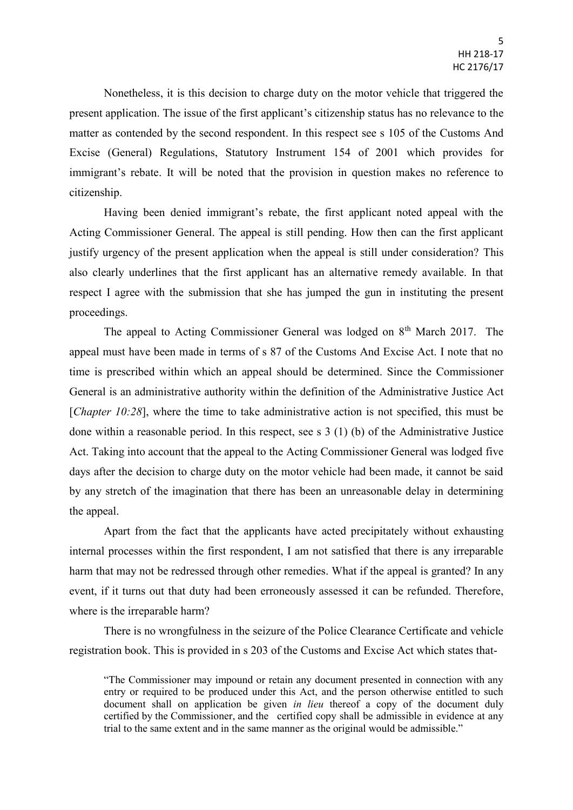Nonetheless, it is this decision to charge duty on the motor vehicle that triggered the present application. The issue of the first applicant's citizenship status has no relevance to the matter as contended by the second respondent. In this respect see s 105 of the Customs And Excise (General) Regulations, Statutory Instrument 154 of 2001 which provides for immigrant's rebate. It will be noted that the provision in question makes no reference to citizenship.

Having been denied immigrant's rebate, the first applicant noted appeal with the Acting Commissioner General. The appeal is still pending. How then can the first applicant justify urgency of the present application when the appeal is still under consideration? This also clearly underlines that the first applicant has an alternative remedy available. In that respect I agree with the submission that she has jumped the gun in instituting the present proceedings.

The appeal to Acting Commissioner General was lodged on 8<sup>th</sup> March 2017. The appeal must have been made in terms of s 87 of the Customs And Excise Act. I note that no time is prescribed within which an appeal should be determined. Since the Commissioner General is an administrative authority within the definition of the Administrative Justice Act [*Chapter 10:28*], where the time to take administrative action is not specified, this must be done within a reasonable period. In this respect, see s 3 (1) (b) of the Administrative Justice Act. Taking into account that the appeal to the Acting Commissioner General was lodged five days after the decision to charge duty on the motor vehicle had been made, it cannot be said by any stretch of the imagination that there has been an unreasonable delay in determining the appeal.

Apart from the fact that the applicants have acted precipitately without exhausting internal processes within the first respondent, I am not satisfied that there is any irreparable harm that may not be redressed through other remedies. What if the appeal is granted? In any event, if it turns out that duty had been erroneously assessed it can be refunded. Therefore, where is the irreparable harm?

There is no wrongfulness in the seizure of the Police Clearance Certificate and vehicle registration book. This is provided in s 203 of the Customs and Excise Act which states that-

<sup>&</sup>quot;The Commissioner may impound or retain any document presented in connection with any entry or required to be produced under this Act, and the person otherwise entitled to such document shall on application be given *in lieu* thereof a copy of the document duly certified by the Commissioner, and the certified copy shall be admissible in evidence at any trial to the same extent and in the same manner as the original would be admissible."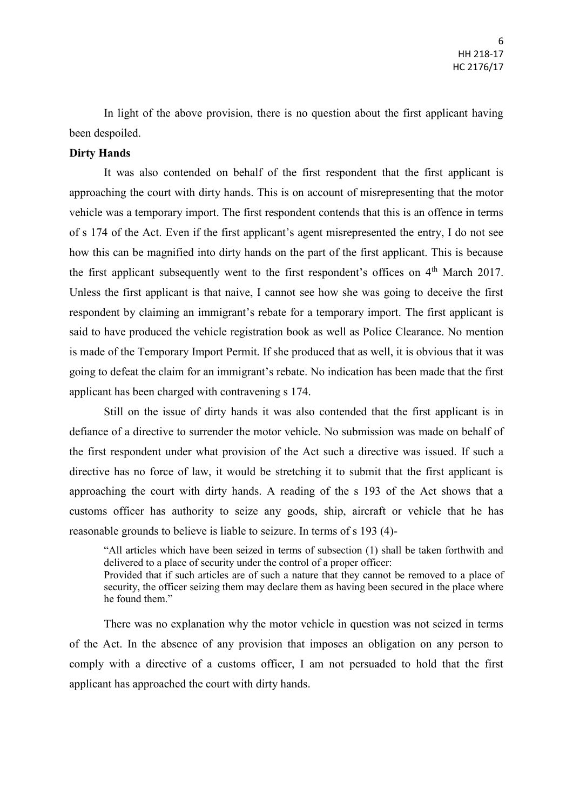In light of the above provision, there is no question about the first applicant having been despoiled.

## **Dirty Hands**

It was also contended on behalf of the first respondent that the first applicant is approaching the court with dirty hands. This is on account of misrepresenting that the motor vehicle was a temporary import. The first respondent contends that this is an offence in terms of s 174 of the Act. Even if the first applicant's agent misrepresented the entry, I do not see how this can be magnified into dirty hands on the part of the first applicant. This is because the first applicant subsequently went to the first respondent's offices on  $4<sup>th</sup>$  March 2017. Unless the first applicant is that naive, I cannot see how she was going to deceive the first respondent by claiming an immigrant's rebate for a temporary import. The first applicant is said to have produced the vehicle registration book as well as Police Clearance. No mention is made of the Temporary Import Permit. If she produced that as well, it is obvious that it was going to defeat the claim for an immigrant's rebate. No indication has been made that the first applicant has been charged with contravening s 174.

Still on the issue of dirty hands it was also contended that the first applicant is in defiance of a directive to surrender the motor vehicle. No submission was made on behalf of the first respondent under what provision of the Act such a directive was issued. If such a directive has no force of law, it would be stretching it to submit that the first applicant is approaching the court with dirty hands. A reading of the s 193 of the Act shows that a customs officer has authority to seize any goods, ship, aircraft or vehicle that he has reasonable grounds to believe is liable to seizure. In terms of s 193 (4)-

"All articles which have been seized in terms of subsection (1) shall be taken forthwith and delivered to a place of security under the control of a proper officer: Provided that if such articles are of such a nature that they cannot be removed to a place of security, the officer seizing them may declare them as having been secured in the place where he found them."

There was no explanation why the motor vehicle in question was not seized in terms of the Act. In the absence of any provision that imposes an obligation on any person to comply with a directive of a customs officer, I am not persuaded to hold that the first applicant has approached the court with dirty hands.